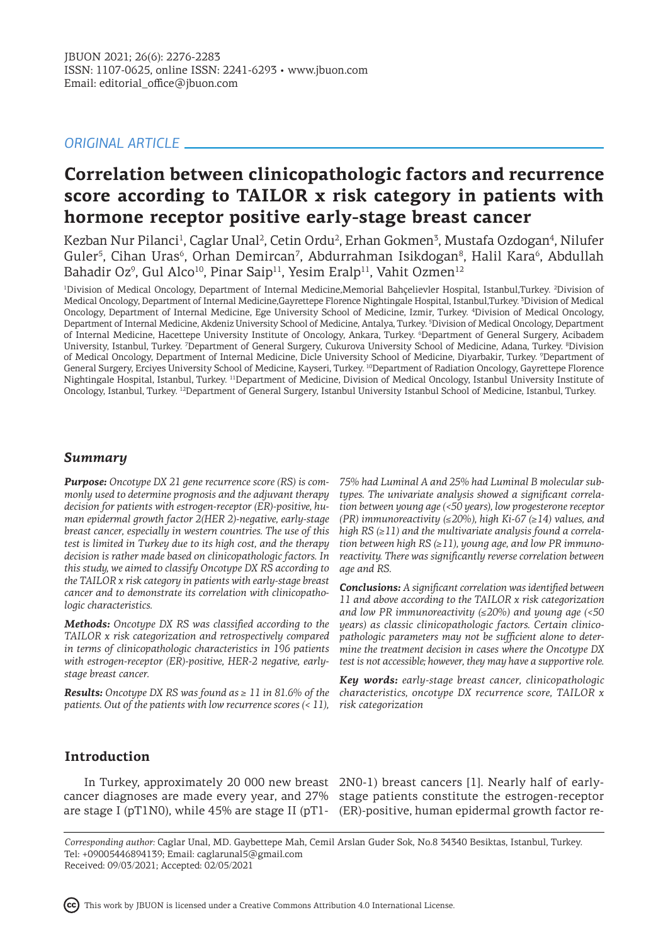# *ORIGINAL ARTICLE*

# **Correlation between clinicopathologic factors and recurrence score according to TAILOR x risk category in patients with hormone receptor positive early-stage breast cancer**

Kezban Nur Pilanci<sup>1</sup>, Caglar Unal<sup>2</sup>, Cetin Ordu<sup>2</sup>, Erhan Gokmen<sup>3</sup>, Mustafa Ozdogan<sup>4</sup>, Nilufer Guler<sup>5</sup>, Cihan Uras<sup>6</sup>, Orhan Demircan<sup>7</sup>, Abdurrahman Isikdogan<sup>8</sup>, Halil Kara<sup>6</sup>, Abdullah Bahadir Oz<sup>9</sup>, Gul Alco<sup>10</sup>, Pinar Saip<sup>11</sup>, Yesim Eralp<sup>11</sup>, Vahit Ozmen<sup>12</sup>

<sup>1</sup>Division of Medical Oncology, Department of Internal Medicine,Memorial Bahçelievler Hospital, Istanbul,Turkey. <sup>2</sup>Division of Medical Oncology, Department of Internal Medicine,Gayrettepe Florence Nightingale Hospital, Istanbul,Turkey. <sup>3</sup> Division of Medical Oncology, Department of Internal Medicine, Ege University School of Medicine, Izmir, Turkey. <sup>4</sup> Division of Medical Oncology, Department of Internal Medicine, Akdeniz University School of Medicine, Antalya, Turkey. <sup>5</sup> Division of Medical Oncology, Department of Internal Medicine, Hacettepe University Institute of Oncology, Ankara, Turkey. <sup>6</sup>Department of General Surgery, Acibadem University, Istanbul, Turkey. <sup>7</sup>Department of General Surgery, Cukurova University School of Medicine, Adana, Turkey. <sup>8</sup>Division of Medical Oncology, Department of Internal Medicine, Dicle University School of Medicine, Diyarbakir, Turkey. <sup>9</sup>Department of General Surgery, Erciyes University School of Medicine, Kayseri, Turkey. <sup>10</sup>Department of Radiation Oncology, Gayrettepe Florence Nightingale Hospital, Istanbul, Turkey. <sup>11</sup>Department of Medicine, Division of Medical Oncology, Istanbul University Institute of Oncology, Istanbul, Turkey. <sup>12</sup>Department of General Surgery, Istanbul University Istanbul School of Medicine, Istanbul, Turkey.

## *Summary*

*Purpose: Oncotype DX 21 gene recurrence score (RS) is commonly used to determine prognosis and the adjuvant therapy decision for patients with estrogen-receptor (ER)-positive, human epidermal growth factor 2(HER 2)-negative, early-stage breast cancer, especially in western countries. The use of this test is limited in Turkey due to its high cost, and the therapy decision is rather made based on clinicopathologic factors. In this study, we aimed to classify Oncotype DX RS according to the TAILOR x risk category in patients with early-stage breast cancer and to demonstrate its correlation with clinicopathologic characteristics.* 

*Methods: Oncotype DX RS was classified according to the TAILOR x risk categorization and retrospectively compared in terms of clinicopathologic characteristics in 196 patients with estrogen-receptor (ER)-positive, HER-2 negative, earlystage breast cancer.*

*Results: Oncotype DX RS was found as ≥ 11 in 81.6% of the patients. Out of the patients with low recurrence scores (< 11),*

*75% had Luminal A and 25% had Luminal B molecular subtypes. The univariate analysis showed a significant correlation between young age (<50 years), low progesterone receptor (PR) immunoreactivity (≤20%), high Ki-67 (≥14) values, and high RS (≥11) and the multivariate analysis found a correlation between high RS (≥11), young age, and low PR immunoreactivity. There was significantly reverse correlation between age and RS.*

*Conclusions: A significant correlation was identified between 11 and above according to the TAILOR x risk categorization and low PR immunoreactivity (≤20%) and young age (<50 years) as classic clinicopathologic factors. Certain clinicopathologic parameters may not be sufficient alone to determine the treatment decision in cases where the Oncotype DX test is not accessible; however, they may have a supportive role.*

*Key words: early-stage breast cancer, clinicopathologic characteristics, oncotype DX recurrence score, TAILOR x risk categorization*

# **Introduction**

are stage I (pT1N0), while 45% are stage II (pT1- (ER)-positive, human epidermal growth factor re-

In Turkey, approximately 20 000 new breast 2N0-1) breast cancers [1]. Nearly half of earlycancer diagnoses are made every year, and 27% stage patients constitute the estrogen-receptor

*Corresponding author:* Caglar Unal, MD. Gaybettepe Mah, Cemil Arslan Guder Sok, No.8 34340 Besiktas, Istanbul, Turkey. Tel: +09005446894139; Email: caglarunal5@gmail.com Received: 09/03/2021; Accepted: 02/05/2021

This work by JBUON is licensed under a Creative Commons Attribution 4.0 International License.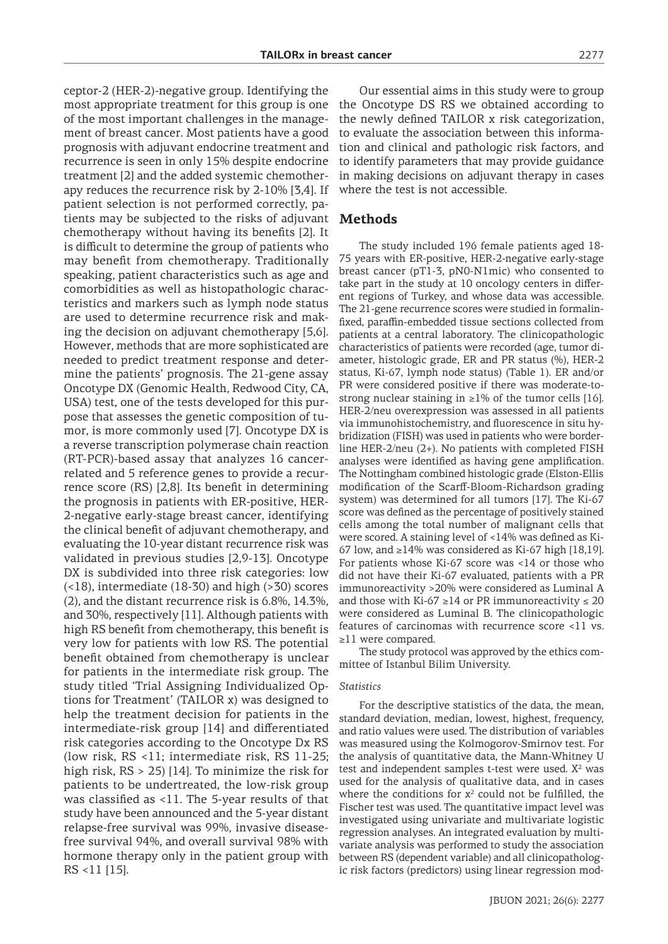ceptor-2 (HER-2)-negative group. Identifying the most appropriate treatment for this group is one of the most important challenges in the management of breast cancer. Most patients have a good prognosis with adjuvant endocrine treatment and recurrence is seen in only 15% despite endocrine treatment [2] and the added systemic chemotherapy reduces the recurrence risk by 2-10% [3,4]. If patient selection is not performed correctly, patients may be subjected to the risks of adjuvant chemotherapy without having its benefits [2]. It is difficult to determine the group of patients who may benefit from chemotherapy. Traditionally speaking, patient characteristics such as age and comorbidities as well as histopathologic characteristics and markers such as lymph node status are used to determine recurrence risk and making the decision on adjuvant chemotherapy [5,6]. However, methods that are more sophisticated are needed to predict treatment response and determine the patients' prognosis. The 21-gene assay Oncotype DX (Genomic Health, Redwood City, CA, USA) test, one of the tests developed for this purpose that assesses the genetic composition of tumor, is more commonly used [7]. Oncotype DX is a reverse transcription polymerase chain reaction (RT-PCR)-based assay that analyzes 16 cancerrelated and 5 reference genes to provide a recurrence score (RS) [2,8]. Its benefit in determining the prognosis in patients with ER-positive, HER-2-negative early-stage breast cancer, identifying the clinical benefit of adjuvant chemotherapy, and evaluating the 10-year distant recurrence risk was validated in previous studies [2,9-13]. Oncotype DX is subdivided into three risk categories: low (<18), intermediate (18-30) and high (>30) scores (2), and the distant recurrence risk is 6.8%, 14.3%, and 30%, respectively [11]. Although patients with high RS benefit from chemotherapy, this benefit is very low for patients with low RS. The potential benefit obtained from chemotherapy is unclear for patients in the intermediate risk group. The study titled 'Trial Assigning Individualized Options for Treatment' (TAILOR x) was designed to help the treatment decision for patients in the intermediate-risk group [14] and differentiated risk categories according to the Oncotype Dx RS (low risk, RS <11; intermediate risk, RS 11-25; high risk, RS > 25) [14]. To minimize the risk for patients to be undertreated, the low-risk group was classified as <11. The 5-year results of that study have been announced and the 5-year distant relapse-free survival was 99%, invasive diseasefree survival 94%, and overall survival 98% with hormone therapy only in the patient group with RS <11 [15].

Our essential aims in this study were to group the Oncotype DS RS we obtained according to the newly defined TAILOR x risk categorization, to evaluate the association between this information and clinical and pathologic risk factors, and to identify parameters that may provide guidance in making decisions on adjuvant therapy in cases where the test is not accessible.

# **Methods**

The study included 196 female patients aged 18- 75 years with ER-positive, HER-2-negative early-stage breast cancer (pT1-3, pN0-N1mic) who consented to take part in the study at 10 oncology centers in different regions of Turkey, and whose data was accessible. The 21-gene recurrence scores were studied in formalinfixed, paraffin-embedded tissue sections collected from patients at a central laboratory. The clinicopathologic characteristics of patients were recorded (age, tumor diameter, histologic grade, ER and PR status (%), HER-2 status, Ki-67, lymph node status) (Table 1). ER and/or PR were considered positive if there was moderate-tostrong nuclear staining in  $\geq$ 1% of the tumor cells [16]. HER-2/neu overexpression was assessed in all patients via immunohistochemistry, and fluorescence in situ hybridization (FISH) was used in patients who were borderline HER-2/neu (2+). No patients with completed FISH analyses were identified as having gene amplification. The Nottingham combined histologic grade (Elston-Ellis modification of the Scarff-Bloom-Richardson grading system) was determined for all tumors [17]. The Ki-67 score was defined as the percentage of positively stained cells among the total number of malignant cells that were scored. A staining level of <14% was defined as Ki-67 low, and ≥14% was considered as Ki-67 high [18,19]. For patients whose Ki-67 score was <14 or those who did not have their Ki-67 evaluated, patients with a PR immunoreactivity >20% were considered as Luminal A and those with Ki-67  $\geq$ 14 or PR immunoreactivity  $\leq$  20 were considered as Luminal B. The clinicopathologic features of carcinomas with recurrence score <11 vs. ≥11 were compared.

The study protocol was approved by the ethics committee of Istanbul Bilim University.

#### *Statistics*

For the descriptive statistics of the data, the mean, standard deviation, median, lowest, highest, frequency, and ratio values were used. The distribution of variables was measured using the Kolmogorov-Smirnov test. For the analysis of quantitative data, the Mann-Whitney U test and independent samples t-test were used.  $X^2$  was used for the analysis of qualitative data, and in cases where the conditions for  $x^2$  could not be fulfilled, the Fischer test was used. The quantitative impact level was investigated using univariate and multivariate logistic regression analyses. An integrated evaluation by multivariate analysis was performed to study the association between RS (dependent variable) and all clinicopathologic risk factors (predictors) using linear regression mod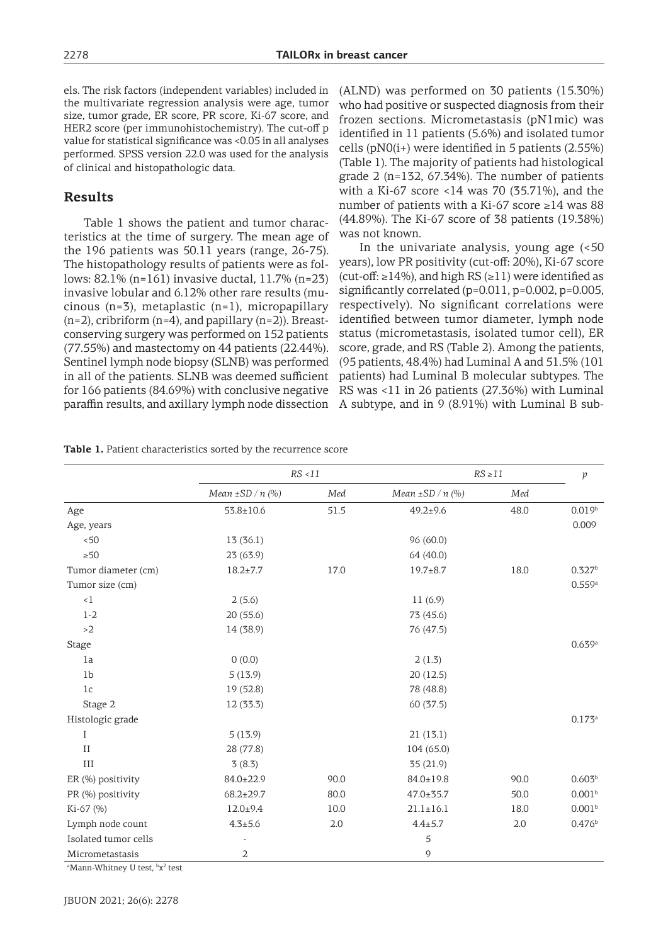els. The risk factors (independent variables) included in the multivariate regression analysis were age, tumor size, tumor grade, ER score, PR score, Ki-67 score, and HER2 score (per immunohistochemistry). The cut-off p value for statistical significance was <0.05 in all analyses performed. SPSS version 22.0 was used for the analysis of clinical and histopathologic data.

# **Results**

Table 1 shows the patient and tumor characteristics at the time of surgery. The mean age of the 196 patients was 50.11 years (range, 26-75). The histopathology results of patients were as follows: 82.1% (n=161) invasive ductal, 11.7% (n=23) invasive lobular and 6.12% other rare results (mucinous (n=3), metaplastic (n=1), micropapillary  $(n=2)$ , cribriform  $(n=4)$ , and papillary  $(n=2)$ ). Breastconserving surgery was performed on 152 patients (77.55%) and mastectomy on 44 patients (22.44%). Sentinel lymph node biopsy (SLNB) was performed in all of the patients. SLNB was deemed sufficient for 166 patients (84.69%) with conclusive negative paraffin results, and axillary lymph node dissection (ALND) was performed on 30 patients (15.30%) who had positive or suspected diagnosis from their frozen sections. Micrometastasis (pN1mic) was identified in 11 patients (5.6%) and isolated tumor cells ( $pNO(i+)$  were identified in 5 patients ( $2.55\%$ ) (Table 1). The majority of patients had histological grade 2 (n=132, 67.34%). The number of patients with a Ki-67 score <14 was 70 (35.71%), and the number of patients with a Ki-67 score ≥14 was 88 (44.89%). The Ki-67 score of 38 patients (19.38%) was not known.

In the univariate analysis, young age (<50 years), low PR positivity (cut-off: 20%), Ki-67 score (cut-off: ≥14%), and high RS (≥11) were identified as significantly correlated (p=0.011, p=0.002, p=0.005, respectively). No significant correlations were identified between tumor diameter, lymph node status (micrometastasis, isolated tumor cell), ER score, grade, and RS (Table 2). Among the patients, (95 patients, 48.4%) had Luminal A and 51.5% (101 patients) had Luminal B molecular subtypes. The RS was <11 in 26 patients (27.36%) with Luminal A subtype, and in 9 (8.91%) with Luminal B sub-

|                      | RS < 11               |      | $RS \geq 11$          |      | $\,p\,$            |
|----------------------|-----------------------|------|-----------------------|------|--------------------|
|                      | Mean $\pm$ SD / n (%) | Med  | Mean $\pm$ SD / n (%) | Med  |                    |
| Age                  | $53.8 \pm 10.6$       | 51.5 | $49.2 \pm 9.6$        | 48.0 | 0.019 <sup>b</sup> |
| Age, years           |                       |      |                       |      | 0.009              |
| < 50                 | 13(36.1)              |      | 96 (60.0)             |      |                    |
| $\geq 50$            | 23(63.9)              |      | 64 (40.0)             |      |                    |
| Tumor diameter (cm)  | $18.2 \pm 7.7$        | 17.0 | $19.7 + 8.7$          | 18.0 | 0.327 <sup>b</sup> |
| Tumor size (cm)      |                       |      |                       |      | 0.559a             |
| $\leq 1$             | 2(5.6)                |      | 11(6.9)               |      |                    |
| $1 - 2$              | 20(55.6)              |      | 73 (45.6)             |      |                    |
| >2                   | 14 (38.9)             |      | 76 (47.5)             |      |                    |
| <b>Stage</b>         |                       |      |                       |      | 0.639a             |
| 1a                   | 0(0.0)                |      | 2(1.3)                |      |                    |
| 1 <sub>b</sub>       | 5(13.9)               |      | 20(12.5)              |      |                    |
| 1 <sub>c</sub>       | 19(52.8)              |      | 78 (48.8)             |      |                    |
| Stage 2              | 12 (33.3)             |      | 60 (37.5)             |      |                    |
| Histologic grade     |                       |      |                       |      | $0.173^{a}$        |
| I                    | 5(13.9)               |      | 21(13.1)              |      |                    |
| $\rm II$             | 28 (77.8)             |      | 104 (65.0)            |      |                    |
| III                  | 3(8.3)                |      | 35(21.9)              |      |                    |
| ER (%) positivity    | 84.0±22.9             | 90.0 | 84.0±19.8             | 90.0 | $0.603^{b}$        |
| PR (%) positivity    | $68.2 \pm 29.7$       | 80.0 | $47.0 \pm 35.7$       | 50.0 | 0.001 <sup>b</sup> |
| Ki-67 (%)            | $12.0 + 9.4$          | 10.0 | $21.1 \pm 16.1$       | 18.0 | 0.001 <sup>b</sup> |
| Lymph node count     | $4.3 + 5.6$           | 2.0  | $4.4 \pm 5.7$         | 2.0  | 0.476 <sup>b</sup> |
| Isolated tumor cells |                       |      | 5                     |      |                    |
| Micrometastasis      | $\overline{2}$        |      | $\mathcal{O}$         |      |                    |

**Table 1.** Patient characteristics sorted by the recurrence score

<sup>a</sup>Mann-Whitney U test, <sup>b</sup>x<sup>2</sup> test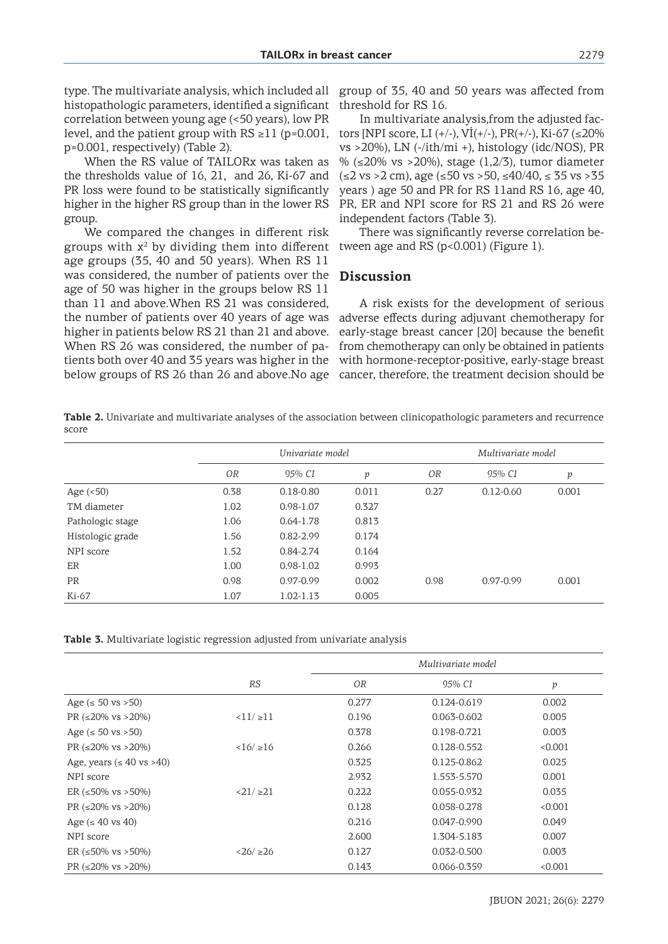histopathologic parameters, identified a significant correlation between young age (<50 years), low PR level, and the patient group with  $RS \geq 11$  (p=0.001, p=0.001, respectively) (Table 2).

When the RS value of TAILORx was taken as the thresholds value of 16, 21, and 26, Ki-67 and PR loss were found to be statistically significantly higher in the higher RS group than in the lower RS group.

We compared the changes in different risk groups with  $x^2$  by dividing them into different age groups (35, 40 and 50 years). When RS 11 was considered, the number of patients over the age of 50 was higher in the groups below RS 11 than 11 and above.When RS 21 was considered, the number of patients over 40 years of age was higher in patients below RS 21 than 21 and above. When RS 26 was considered, the number of patients both over 40 and 35 years was higher in the below groups of RS 26 than 26 and above.No age

type. The multivariate analysis, which included all group of 35, 40 and 50 years was affected from threshold for RS 16.

> In multivariate analysis,from the adjusted factors [NPI score, LI (+/-), VI(+/-), PR(+/-), Ki-67 ( $\leq$ 20% vs >20%), LN (-/ith/mi +), histology (idc/NOS), PR % (≤20% vs >20%), stage (1,2/3), tumor diameter  $(\leq 2 \text{ vs } > 2 \text{ cm})$ , age  $(\leq 50 \text{ vs } > 50, \leq 40/40, \leq 35 \text{ vs } > 35$ years ) age 50 and PR for RS 11and RS 16, age 40, PR, ER and NPI score for RS 21 and RS 26 were independent factors (Table 3).

There was significantly reverse correlation between age and RS (p<0.001) (Figure 1).

#### **Discussion**

A risk exists for the development of serious adverse effects during adjuvant chemotherapy for early-stage breast cancer [20] because the benefit from chemotherapy can only be obtained in patients with hormone-receptor-positive, early-stage breast cancer, therefore, the treatment decision should be

**Table 2.** Univariate and multivariate analyses of the association between clinicopathologic parameters and recurrence score

|                  | Univariate model |               |       |                | Multivariate model |       |  |
|------------------|------------------|---------------|-------|----------------|--------------------|-------|--|
|                  | 0 <sub>R</sub>   | 95% CI        | p     | 0 <sub>R</sub> | 95% CI             | р     |  |
| Age $(< 50)$     | 0.38             | $0.18 - 0.80$ | 0.011 | 0.27           | $0.12 - 0.60$      | 0.001 |  |
| TM diameter      | 1.02             | 0.98-1.07     | 0.327 |                |                    |       |  |
| Pathologic stage | 1.06             | $0.64 - 1.78$ | 0.813 |                |                    |       |  |
| Histologic grade | 1.56             | $0.82 - 2.99$ | 0.174 |                |                    |       |  |
| NPI score        | 1.52             | 0.84-2.74     | 0.164 |                |                    |       |  |
| ER               | 1.00             | $0.98 - 1.02$ | 0.993 |                |                    |       |  |
| <b>PR</b>        | 0.98             | 0.97-0.99     | 0.002 | 0.98           | 0.97-0.99          | 0.001 |  |
| Ki-67            | 1.07             | 1.02-1.13     | 0.005 |                |                    |       |  |

**Table 3.** Multivariate logistic regression adjusted from univariate analysis

|                                     |           | Multivariate model |                 |         |  |
|-------------------------------------|-----------|--------------------|-----------------|---------|--|
|                                     | <b>RS</b> | 0 <sub>R</sub>     | 95% CI          | р       |  |
| Age ( $\leq 50$ vs $>50$ )          |           | 0.277              | 0.124-0.619     | 0.002   |  |
| PR $(\leq 20\% \text{ vs } > 20\%)$ | 11/11     | 0.196              | 0.063-0.602     | 0.005   |  |
| Age $(s 50 \text{ vs } >50)$        |           | 0.378              | 0.198-0.721     | 0.003   |  |
| PR $(\leq 20\% \text{ vs } > 20\%)$ | 16/16     | 0.266              | 0.128-0.552     | < 0.001 |  |
| Age, years ( $\leq 40$ vs >40)      |           | 0.325              | 0.125-0.862     | 0.025   |  |
| NPI score                           |           | 2.932              | 1.553-5.570     | 0.001   |  |
| ER $(\leq 50\% \text{ vs } > 50\%)$ | 21/221    | 0.222              | 0.055-0.932     | 0.035   |  |
| PR $(\leq 20\% \text{ vs } > 20\%)$ |           | 0.128              | 0.058-0.278     | < 0.001 |  |
| Age $(40 \text{ vs } 40)$           |           | 0.216              | $0.047 - 0.990$ | 0.049   |  |
| NPI score                           |           | 2.600              | 1.304-5.183     | 0.007   |  |
| ER $(\leq 50\% \text{ vs } > 50\%)$ | 26/226    | 0.127              | 0.032-0.500     | 0.003   |  |
| PR $(\leq 20\% \text{ vs } > 20\%)$ |           | 0.143              | 0.066-0.359     | < 0.001 |  |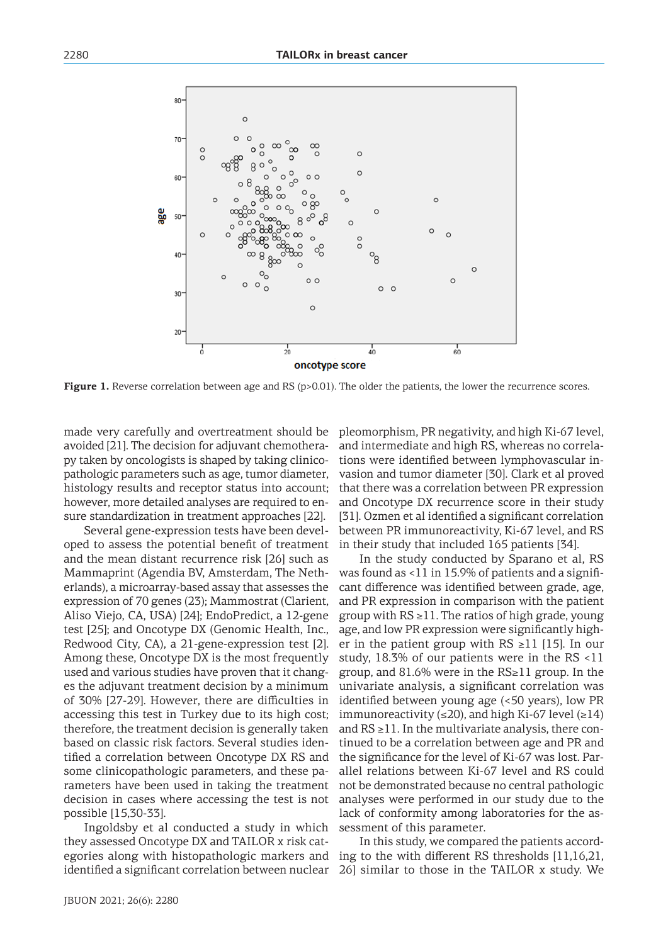

**Figure 1.** Reverse correlation between age and RS (p>0.01). The older the patients, the lower the recurrence scores.

made very carefully and overtreatment should be avoided [21]. The decision for adjuvant chemotherapy taken by oncologists is shaped by taking clinicopathologic parameters such as age, tumor diameter, histology results and receptor status into account; however, more detailed analyses are required to ensure standardization in treatment approaches [22].

Several gene-expression tests have been developed to assess the potential benefit of treatment and the mean distant recurrence risk [26] such as Mammaprint (Agendia BV, Amsterdam, The Netherlands), a microarray-based assay that assesses the expression of 70 genes (23); Mammostrat (Clarient, Aliso Viejo, CA, USA) [24]; EndoPredict, a 12-gene test [25]; and Oncotype DX (Genomic Health, Inc., Redwood City, CA), a 21-gene-expression test [2]. Among these, Oncotype DX is the most frequently used and various studies have proven that it changes the adjuvant treatment decision by a minimum of 30% [27-29]. However, there are difficulties in accessing this test in Turkey due to its high cost; therefore, the treatment decision is generally taken based on classic risk factors. Several studies identified a correlation between Oncotype DX RS and some clinicopathologic parameters, and these parameters have been used in taking the treatment decision in cases where accessing the test is not possible [15,30-33].

Ingoldsby et al conducted a study in which they assessed Oncotype DX and TAILOR x risk categories along with histopathologic markers and identified a significant correlation between nuclear

pleomorphism, PR negativity, and high Ki-67 level, and intermediate and high RS, whereas no correlations were identified between lymphovascular invasion and tumor diameter [30]. Clark et al proved that there was a correlation between PR expression and Oncotype DX recurrence score in their study [31]. Ozmen et al identified a significant correlation between PR immunoreactivity, Ki-67 level, and RS in their study that included 165 patients [34].

In the study conducted by Sparano et al, RS was found as <11 in 15.9% of patients and a significant difference was identified between grade, age, and PR expression in comparison with the patient group with  $RS ≥ 11$ . The ratios of high grade, young age, and low PR expression were significantly higher in the patient group with  $RS \geq 11$  [15]. In our study, 18.3% of our patients were in the RS <11 group, and 81.6% were in the RS≥11 group. In the univariate analysis, a significant correlation was identified between young age (<50 years), low PR immunoreactivity (≤20), and high Ki-67 level (≥14) and  $RS \geq 11$ . In the multivariate analysis, there continued to be a correlation between age and PR and the significance for the level of Ki-67 was lost. Parallel relations between Ki-67 level and RS could not be demonstrated because no central pathologic analyses were performed in our study due to the lack of conformity among laboratories for the assessment of this parameter.

In this study, we compared the patients according to the with different RS thresholds [11,16,21, 26] similar to those in the TAILOR x study. We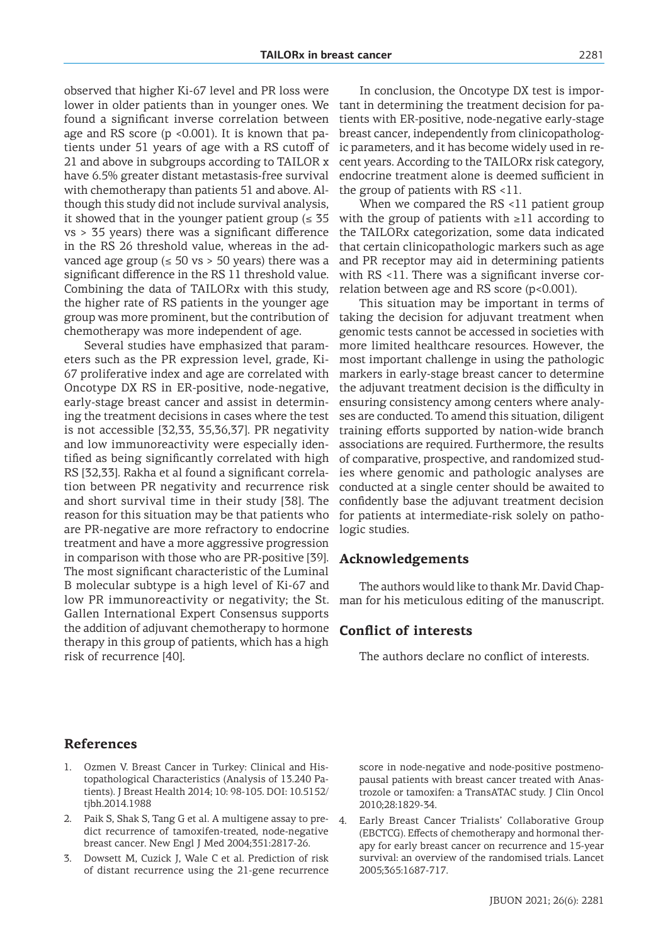observed that higher Ki-67 level and PR loss were lower in older patients than in younger ones. We found a significant inverse correlation between age and RS score ( $p \le 0.001$ ). It is known that patients under 51 years of age with a RS cutoff of 21 and above in subgroups according to TAILOR x have 6.5% greater distant metastasis-free survival with chemotherapy than patients 51 and above. Although this study did not include survival analysis, it showed that in the younger patient group ( $\leq 35$ ) vs > 35 years) there was a significant difference in the RS 26 threshold value, whereas in the advanced age group ( $\leq$  50 vs > 50 years) there was a significant difference in the RS 11 threshold value. Combining the data of TAILORx with this study, the higher rate of RS patients in the younger age group was more prominent, but the contribution of chemotherapy was more independent of age.

Several studies have emphasized that parameters such as the PR expression level, grade, Ki-67 proliferative index and age are correlated with Oncotype DX RS in ER-positive, node-negative, early-stage breast cancer and assist in determining the treatment decisions in cases where the test is not accessible [32,33, 35,36,37]. PR negativity and low immunoreactivity were especially identified as being significantly correlated with high RS [32,33]. Rakha et al found a significant correlation between PR negativity and recurrence risk and short survival time in their study [38]. The reason for this situation may be that patients who are PR-negative are more refractory to endocrine treatment and have a more aggressive progression in comparison with those who are PR-positive [39]. The most significant characteristic of the Luminal B molecular subtype is a high level of Ki-67 and low PR immunoreactivity or negativity; the St. Gallen International Expert Consensus supports the addition of adjuvant chemotherapy to hormone therapy in this group of patients, which has a high risk of recurrence [40].

In conclusion, the Oncotype DX test is important in determining the treatment decision for patients with ER-positive, node-negative early-stage breast cancer, independently from clinicopathologic parameters, and it has become widely used in recent years. According to the TAILORx risk category, endocrine treatment alone is deemed sufficient in the group of patients with RS <11.

When we compared the RS <11 patient group with the group of patients with  $\geq 11$  according to the TAILORx categorization, some data indicated that certain clinicopathologic markers such as age and PR receptor may aid in determining patients with RS <11. There was a significant inverse correlation between age and RS score (p<0.001).

This situation may be important in terms of taking the decision for adjuvant treatment when genomic tests cannot be accessed in societies with more limited healthcare resources. However, the most important challenge in using the pathologic markers in early-stage breast cancer to determine the adjuvant treatment decision is the difficulty in ensuring consistency among centers where analyses are conducted. To amend this situation, diligent training efforts supported by nation-wide branch associations are required. Furthermore, the results of comparative, prospective, and randomized studies where genomic and pathologic analyses are conducted at a single center should be awaited to confidently base the adjuvant treatment decision for patients at intermediate-risk solely on pathologic studies.

### **Acknowledgements**

The authors would like to thank Mr. David Chapman for his meticulous editing of the manuscript.

## **Conflict of interests**

The authors declare no conflict of interests.

### **References**

- 1. Ozmen V. Breast Cancer in Turkey: Clinical and Histopathological Characteristics (Analysis of 13.240 Patients). J Breast Health 2014; 10: 98-105. DOI: 10.5152/ tjbh.2014.1988
- 2. Paik S, Shak S, Tang G et al. A multigene assay to predict recurrence of tamoxifen-treated, node-negative breast cancer. New Engl J Med 2004;351:2817-26.
- 3. Dowsett M, Cuzick J, Wale C et al. Prediction of risk of distant recurrence using the 21-gene recurrence

score in node-negative and node-positive postmenopausal patients with breast cancer treated with Anastrozole or tamoxifen: a TransATAC study. J Clin Oncol 2010;28:1829-34.

4. Early Breast Cancer Trialists' Collaborative Group (EBCTCG). Effects of chemotherapy and hormonal therapy for early breast cancer on recurrence and 15-year survival: an overview of the randomised trials. Lancet 2005;365:1687-717.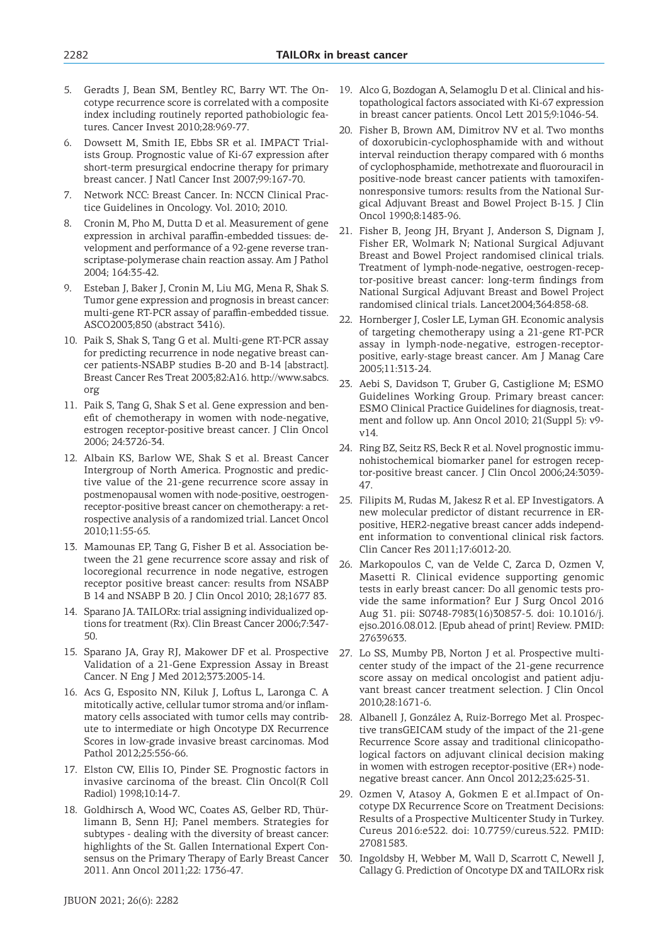- 5. Geradts J, Bean SM, Bentley RC, Barry WT. The Oncotype recurrence score is correlated with a composite index including routinely reported pathobiologic features. Cancer Invest 2010;28:969-77.
- 6. Dowsett M, Smith IE, Ebbs SR et al. IMPACT Trialists Group. Prognostic value of Ki-67 expression after short-term presurgical endocrine therapy for primary breast cancer. J Natl Cancer Inst 2007;99:167-70.
- 7. Network NCC: Breast Cancer. In: NCCN Clinical Practice Guidelines in Oncology. Vol. 2010; 2010.
- 8. Cronin M, Pho M, Dutta D et al. Measurement of gene expression in archival paraffin-embedded tissues: development and performance of a 92-gene reverse transcriptase-polymerase chain reaction assay. Am J Pathol 2004; 164:35-42.
- 9. Esteban J, Baker J, Cronin M, Liu MG, Mena R, Shak S. Tumor gene expression and prognosis in breast cancer: multi-gene RT-PCR assay of paraffin-embedded tissue. ASCO2003;850 (abstract 3416).
- 10. Paik S, Shak S, Tang G et al. Multi-gene RT-PCR assay for predicting recurrence in node negative breast cancer patients-NSABP studies B-20 and B-14 [abstract]. Breast Cancer Res Treat 2003;82:A16. http://www.sabcs. org
- 11. Paik S, Tang G, Shak S et al. Gene expression and benefit of chemotherapy in women with node-negative, estrogen receptor-positive breast cancer. J Clin Oncol 2006; 24:3726-34.
- 12. Albain KS, Barlow WE, Shak S et al. Breast Cancer Intergroup of North America. Prognostic and predictive value of the 21-gene recurrence score assay in postmenopausal women with node-positive, oestrogenreceptor-positive breast cancer on chemotherapy: a retrospective analysis of a randomized trial. Lancet Oncol 2010;11:55-65.
- 13. Mamounas EP, Tang G, Fisher B et al. Association between the 21 gene recurrence score assay and risk of locoregional recurrence in node negative, estrogen receptor positive breast cancer: results from NSABP B 14 and NSABP B 20. J Clin Oncol 2010; 28;1677 83.
- 14. Sparano JA. TAILORx: trial assigning individualized options for treatment (Rx). Clin Breast Cancer 2006;7:347- 50.
- 15. Sparano JA, Gray RJ, Makower DF et al. Prospective Validation of a 21-Gene Expression Assay in Breast Cancer. N Eng J Med 2012;373:2005-14.
- 16. Acs G, Esposito NN, Kiluk J, Loftus L, Laronga C. A mitotically active, cellular tumor stroma and/or inflammatory cells associated with tumor cells may contribute to intermediate or high Oncotype DX Recurrence Scores in low-grade invasive breast carcinomas. Mod Pathol 2012;25:556-66.
- 17. Elston CW, Ellis IO, Pinder SE. Prognostic factors in invasive carcinoma of the breast. Clin Oncol(R Coll Radiol) 1998;10:14-7.
- 18. Goldhirsch A, Wood WC, Coates AS, Gelber RD, Thürlimann B, Senn HJ; Panel members. Strategies for subtypes - dealing with the diversity of breast cancer: highlights of the St. Gallen International Expert Consensus on the Primary Therapy of Early Breast Cancer 2011. Ann Oncol 2011;22: 1736-47.
- 19. Alco G, Bozdogan A, Selamoglu D et al. Clinical and histopathological factors associated with Ki-67 expression in breast cancer patients. Oncol Lett 2015;9:1046-54.
- 20. Fisher B, Brown AM, Dimitrov NV et al. Two months of doxorubicin-cyclophosphamide with and without interval reinduction therapy compared with 6 months of cyclophosphamide, methotrexate and fluorouracil in positive-node breast cancer patients with tamoxifennonresponsive tumors: results from the National Surgical Adjuvant Breast and Bowel Project B-15. J Clin Oncol 1990;8:1483-96.
- 21. Fisher B, Jeong JH, Bryant J, Anderson S, Dignam J, Fisher ER, Wolmark N; National Surgical Adjuvant Breast and Bowel Project randomised clinical trials. Treatment of lymph-node-negative, oestrogen-receptor-positive breast cancer: long-term findings from National Surgical Adjuvant Breast and Bowel Project randomised clinical trials. Lancet2004;364:858-68.
- 22. Hornberger J, Cosler LE, Lyman GH. Economic analysis of targeting chemotherapy using a 21-gene RT-PCR assay in lymph-node-negative, estrogen-receptorpositive, early-stage breast cancer. Am J Manag Care 2005;11:313-24.
- 23. Aebi S, Davidson T, Gruber G, Castiglione M; ESMO Guidelines Working Group. Primary breast cancer: ESMO Clinical Practice Guidelines for diagnosis, treatment and follow up. Ann Oncol 2010; 21(Suppl 5): v9 v14.
- 24. Ring BZ, Seitz RS, Beck R et al. Novel prognostic immunohistochemical biomarker panel for estrogen receptor-positive breast cancer. J Clin Oncol 2006;24:3039- 47.
- 25. Filipits M, Rudas M, Jakesz R et al. EP Investigators. A new molecular predictor of distant recurrence in ERpositive, HER2-negative breast cancer adds independent information to conventional clinical risk factors. Clin Cancer Res 2011;17:6012-20.
- 26. Markopoulos C, van de Velde C, Zarca D, Ozmen V, Masetti R. Clinical evidence supporting genomic tests in early breast cancer: Do all genomic tests provide the same information? Eur J Surg Oncol 2016 Aug 31. pii: S0748-7983(16)30857-5. doi: 10.1016/j. ejso.2016.08.012. [Epub ahead of print] Review. PMID: 27639633.
- 27. Lo SS, Mumby PB, Norton J et al. Prospective multicenter study of the impact of the 21-gene recurrence score assay on medical oncologist and patient adjuvant breast cancer treatment selection. J Clin Oncol 2010;28:1671-6.
- 28. Albanell J, González A, Ruiz-Borrego Met al. Prospective transGEICAM study of the impact of the 21-gene Recurrence Score assay and traditional clinicopathological factors on adjuvant clinical decision making in women with estrogen receptor-positive (ER+) nodenegative breast cancer. Ann Oncol 2012;23:625-31.
- 29. Ozmen V, Atasoy A, Gokmen E et al.Impact of Oncotype DX Recurrence Score on Treatment Decisions: Results of a Prospective Multicenter Study in Turkey. Cureus 2016:e522. doi: 10.7759/cureus.522. PMID: 27081583.
- 30. Ingoldsby H, Webber M, Wall D, Scarrott C, Newell J, Callagy G. Prediction of Oncotype DX and TAILORx risk